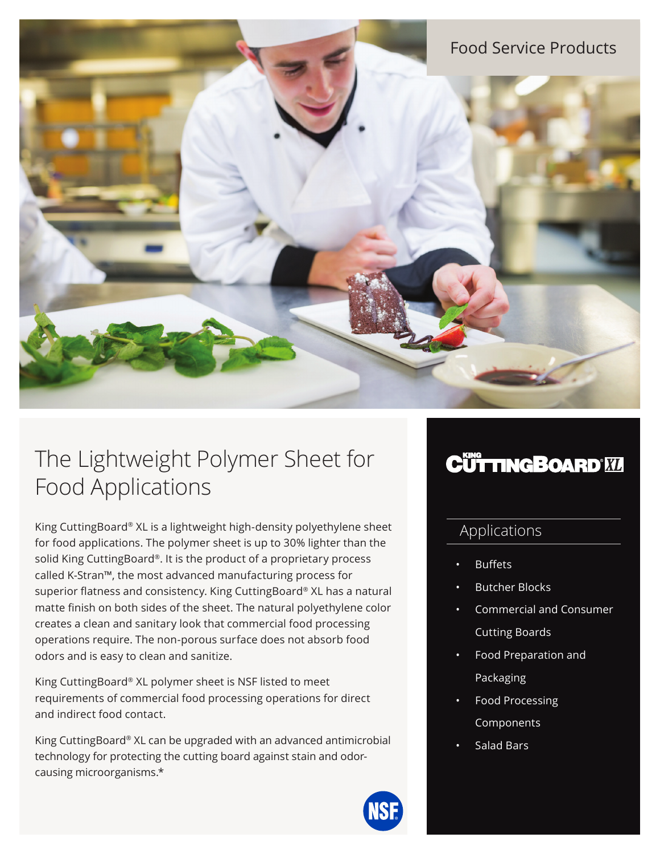# Food Service Products

# The Lightweight Polymer Sheet for Food Applications

King CuttingBoard® XL is a lightweight high-density polyethylene sheet for food applications. The polymer sheet is up to 30% lighter than the solid King CuttingBoard®. It is the product of a proprietary process called K-Stran™, the most advanced manufacturing process for superior flatness and consistency. King CuttingBoard® XL has a natural matte finish on both sides of the sheet. The natural polyethylene color creates a clean and sanitary look that commercial food processing operations require. The non-porous surface does not absorb food odors and is easy to clean and sanitize.

King CuttingBoard® XL polymer sheet is NSF listed to meet requirements of commercial food processing operations for direct and indirect food contact.

King CuttingBoard® XL can be upgraded with an advanced antimicrobial technology for protecting the cutting board against stain and odorcausing microorganisms.\*

# **CÜTTINGBOARD'MI**

## Applications

- **Buffets**
- Butcher Blocks
- Commercial and Consumer Cutting Boards
- Food Preparation and Packaging
- Food Processing Components
- Salad Bars